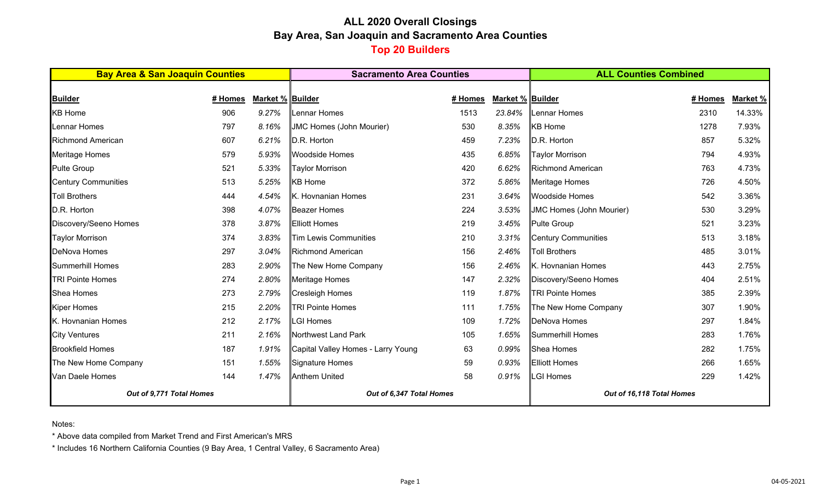# **ALL 2020 Overall Closings Bay Area, San Joaquin and Sacramento Area Counties Top 20 Builders**

| <b>Bay Area &amp; San Joaquin Counties</b> |         |                  | <b>Sacramento Area Counties</b>    |         | <b>ALL Counties Combined</b> |                                 |         |          |
|--------------------------------------------|---------|------------------|------------------------------------|---------|------------------------------|---------------------------------|---------|----------|
|                                            |         |                  |                                    |         |                              |                                 |         |          |
| <b>Builder</b>                             | # Homes | Market % Builder |                                    | # Homes | <b>Market % Builder</b>      |                                 | # Homes | Market % |
| <b>KB Home</b>                             | 906     | 9.27%            | Lennar Homes                       | 1513    | 23.84%                       | Lennar Homes                    | 2310    | 14.33%   |
| Lennar Homes                               | 797     | 8.16%            | <b>JMC Homes (John Mourier)</b>    | 530     | 8.35%                        | <b>KB</b> Home                  | 1278    | 7.93%    |
| <b>Richmond American</b>                   | 607     | 6.21%            | D.R. Horton                        | 459     | 7.23%                        | D.R. Horton                     | 857     | 5.32%    |
| Meritage Homes                             | 579     | 5.93%            | <b>Woodside Homes</b>              | 435     | 6.85%                        | <b>Taylor Morrison</b>          | 794     | 4.93%    |
| <b>Pulte Group</b>                         | 521     | 5.33%            | <b>Taylor Morrison</b>             | 420     | 6.62%                        | Richmond American               | 763     | 4.73%    |
| <b>Century Communities</b>                 | 513     | 5.25%            | <b>KB Home</b>                     | 372     | 5.86%                        | <b>Meritage Homes</b>           | 726     | 4.50%    |
| <b>Toll Brothers</b>                       | 444     | 4.54%            | K. Hovnanian Homes                 | 231     | 3.64%                        | <b>Woodside Homes</b>           | 542     | 3.36%    |
| D.R. Horton                                | 398     | 4.07%            | <b>Beazer Homes</b>                | 224     | 3.53%                        | <b>JMC Homes (John Mourier)</b> | 530     | 3.29%    |
| Discovery/Seeno Homes                      | 378     | 3.87%            | <b>Elliott Homes</b>               | 219     | 3.45%                        | <b>Pulte Group</b>              | 521     | 3.23%    |
| <b>Taylor Morrison</b>                     | 374     | 3.83%            | Tim Lewis Communities              | 210     | 3.31%                        | Century Communities             | 513     | 3.18%    |
| <b>DeNova Homes</b>                        | 297     | 3.04%            | <b>Richmond American</b>           | 156     | 2.46%                        | <b>Toll Brothers</b>            | 485     | 3.01%    |
| <b>Summerhill Homes</b>                    | 283     | 2.90%            | The New Home Company               | 156     | 2.46%                        | K. Hovnanian Homes              | 443     | 2.75%    |
| <b>TRI Pointe Homes</b>                    | 274     | 2.80%            | Meritage Homes                     | 147     | 2.32%                        | Discovery/Seeno Homes           | 404     | 2.51%    |
| <b>Shea Homes</b>                          | 273     | 2.79%            | <b>Cresleigh Homes</b>             | 119     | 1.87%                        | <b>TRI Pointe Homes</b>         | 385     | 2.39%    |
| <b>Kiper Homes</b>                         | 215     | 2.20%            | <b>TRI Pointe Homes</b>            | 111     | 1.75%                        | The New Home Company            | 307     | 1.90%    |
| K. Hovnanian Homes                         | 212     | 2.17%            | <b>LGI Homes</b>                   | 109     | 1.72%                        | <b>DeNova Homes</b>             | 297     | 1.84%    |
| <b>City Ventures</b>                       | 211     | 2.16%            | Northwest Land Park                | 105     | 1.65%                        | Summerhill Homes                | 283     | 1.76%    |
| <b>Brookfield Homes</b>                    | 187     | 1.91%            | Capital Valley Homes - Larry Young | 63      | 0.99%                        | Shea Homes                      | 282     | 1.75%    |
| The New Home Company                       | 151     | 1.55%            | Signature Homes                    | 59      | 0.93%                        | <b>Elliott Homes</b>            | 266     | 1.65%    |
| Van Daele Homes                            | 144     | 1.47%            | <b>Anthem United</b>               | 58      | 0.91%                        | <b>LGI Homes</b>                | 229     | 1.42%    |
| Out of 9,771 Total Homes                   |         |                  | Out of 6,347 Total Homes           |         | Out of 16,118 Total Homes    |                                 |         |          |

Notes:

\* Above data compiled from Market Trend and First American's MRS

\* Includes 16 Northern California Counties (9 Bay Area, 1 Central Valley, 6 Sacramento Area)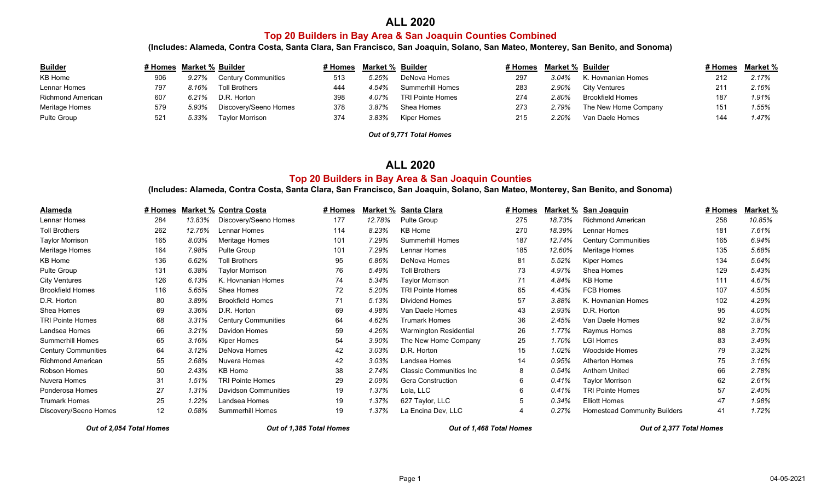### **ALL 2020**

## **Top 20 Builders in Bay Area & San Joaquin Counties Combined**

**(Includes: Alameda, Contra Costa, Santa Clara, San Francisco, San Joaquin, Solano, San Mateo, Monterey, San Benito, and Sonoma)**

| <b>Builder</b>    | # Homes Market % Builder |       |                            | l Homes ! | Market % Builder |                         | # Homes | <b>Market % Builder</b> |                         | # Homes | Market % |
|-------------------|--------------------------|-------|----------------------------|-----------|------------------|-------------------------|---------|-------------------------|-------------------------|---------|----------|
| KB Home           | 906                      | 9.27% | <b>Century Communities</b> | 513       | 5.25%            | DeNova Homes            | 297     | 3.04%                   | K. Hovnanian Homes      | 212     | 2.17%    |
| Lennar Homes      | 797                      | 8.16% | <b>Toll Brothers</b>       | 444       | 1.54%            | <b>Summerhill Homes</b> | 283     | 2.90%                   | City Ventures           | 211     | 2.16%    |
| Richmond American | 607                      | 5.21% | D.R. Horton                | 398       | 4.07%            | <b>TRI Pointe Homes</b> | 274     | 2.80%                   | <b>Brookfield Homes</b> | 187     | 1.91%    |
| Meritage Homes    | 579                      | 5.93% | Discoverv/Seeno Homes      | 378       | 3.87%            | Shea Homes              | 273     | 2.79%                   | The New Home Company    |         | 1.55%    |
| Pulte Group       | 521                      | 5.33% | Tavlor Morrison            | 374       | 3.83%            | Kiper Homes             | 215     | 2.20%                   | Van Daele Homes         |         | 1.47%    |

*Out of 9,771 Total Homes*

#### **ALL 2020**

### **Top 20 Builders in Bay Area & San Joaquin Counties**

**(Includes: Alameda, Contra Costa, Santa Clara, San Francisco, San Joaquin, Solano, San Mateo, Monterey, San Benito, and Sonoma)**

| Alameda                    | # Homes |        | <b>Market % Contra Costa</b> | # Homes | Market % | Santa Clara                    | # Homes | Market % | San Joaquin                         | # Homes | Market % |
|----------------------------|---------|--------|------------------------------|---------|----------|--------------------------------|---------|----------|-------------------------------------|---------|----------|
| Lennar Homes               | 284     | 13.83% | Discovery/Seeno Homes        | 177     | 12.78%   | Pulte Group                    | 275     | 18.73%   | <b>Richmond American</b>            | 258     | 10.85%   |
| <b>Toll Brothers</b>       | 262     | 12.76% | Lennar Homes                 | 114     | 8.23%    | <b>KB Home</b>                 | 270     | 18.39%   | Lennar Homes                        | 181     | 7.61%    |
| <b>Taylor Morrison</b>     | 165     | 8.03%  | Meritage Homes               | 101     | 7.29%    | <b>Summerhill Homes</b>        | 187     | 12.74%   | <b>Century Communities</b>          | 165     | 6.94%    |
| Meritage Homes             | 164     | 7.98%  | Pulte Group                  | 101     | 7.29%    | Lennar Homes                   | 185     | 12.60%   | Meritage Homes                      | 135     | 5.68%    |
| KB Home                    | 136     | 6.62%  | <b>Toll Brothers</b>         | 95      | 6.86%    | DeNova Homes                   | 81      | 5.52%    | Kiper Homes                         | 134     | 5.64%    |
| Pulte Group                | 131     | 6.38%  | Taylor Morrison              | 76      | 5.49%    | <b>Toll Brothers</b>           | 73      | 4.97%    | Shea Homes                          | 129     | 5.43%    |
| <b>City Ventures</b>       | 126     | 6.13%  | K. Hovnanian Homes           | 74      | 5.34%    | <b>Taylor Morrison</b>         | 71      | 4.84%    | KB Home                             | 111     | 4.67%    |
| <b>Brookfield Homes</b>    | 116     | 5.65%  | Shea Homes                   | 72      | 5.20%    | <b>TRI Pointe Homes</b>        | 65      | 4.43%    | <b>FCB Homes</b>                    | 107     | 4.50%    |
| D.R. Horton                | 80      | 3.89%  | <b>Brookfield Homes</b>      | 71      | 5.13%    | Dividend Homes                 | 57      | 3.88%    | K. Hovnanian Homes                  | 102     | 4.29%    |
| Shea Homes                 | 69      | 3.36%  | D.R. Horton                  | 69      | 4.98%    | Van Daele Homes                | 43      | 2.93%    | D.R. Horton                         | 95      | 4.00%    |
| <b>TRI Pointe Homes</b>    | 68      | 3.31%  | <b>Century Communities</b>   | 64      | 4.62%    | <b>Trumark Homes</b>           | 36      | 2.45%    | Van Daele Homes                     | 92      | 3.87%    |
| Landsea Homes              | 66      | 3.21%  | Davidon Homes                | 59      | 4.26%    | Warmington Residential         | 26      | 1.77%    | Raymus Homes                        | 88      | 3.70%    |
| <b>Summerhill Homes</b>    | 65      | 3.16%  | Kiper Homes                  | 54      | 3.90%    | The New Home Company           | 25      | 1.70%    | <b>LGI Homes</b>                    | 83      | 3.49%    |
| <b>Century Communities</b> | 64      | 3.12%  | DeNova Homes                 | 42      | 3.03%    | D.R. Horton                    | 15      | 1.02%    | <b>Woodside Homes</b>               | 79      | 3.32%    |
| <b>Richmond American</b>   | 55      | 2.68%  | Nuvera Homes                 | 42      | 3.03%    | Landsea Homes                  | 14      | 0.95%    | <b>Atherton Homes</b>               | 75      | 3.16%    |
| Robson Homes               | 50      | 2.43%  | <b>KB Home</b>               | 38      | 2.74%    | <b>Classic Communities Inc</b> | 8       | 0.54%    | Anthem United                       | 66      | 2.78%    |
| Nuvera Homes               | 31      | 1.51%  | <b>TRI Pointe Homes</b>      | 29      | 2.09%    | Gera Construction              | 6       | 0.41%    | <b>Taylor Morrison</b>              | 62      | 2.61%    |
| Ponderosa Homes            | 27      | 1.31%  | <b>Davidson Communities</b>  | 19      | 1.37%    | Lola, LLC                      | 6       | 0.41%    | <b>TRI Pointe Homes</b>             | 57      | 2.40%    |
| <b>Trumark Homes</b>       | 25      | 1.22%  | Landsea Homes                | 19      | 1.37%    | 627 Taylor, LLC                | 5       | 0.34%    | <b>Elliott Homes</b>                |         | 1.98%    |
| Discovery/Seeno Homes      | 12      | 0.58%  | Summerhill Homes             | 19      | 1.37%    | La Encina Dev, LLC             |         | 0.27%    | <b>Homestead Community Builders</b> | 41      | 1.72%    |

*Out of 2,054 Total Homes Out of 1,385 Total Homes Out of 1,468 Total Homes Out of 2,377 Total Homes*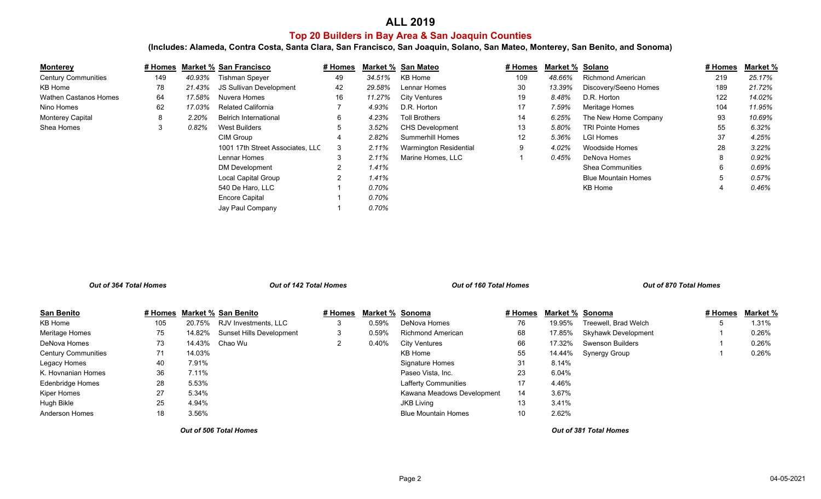## **ALL 2019**

## **Top 20 Builders in Bay Area & San Joaquin Counties**

**(Includes: Alameda, Contra Costa, Santa Clara, San Francisco, San Joaquin, Solano, San Mateo, Monterey, San Benito, and Sonoma)**

| <b>Monterey</b>              | # Homes |          | <b>Market % San Francisco</b>    | # Homes        |        | Market % San Mateo     | <u># Homes</u>    | Market % Solano |                            | # Homes | Market % |
|------------------------------|---------|----------|----------------------------------|----------------|--------|------------------------|-------------------|-----------------|----------------------------|---------|----------|
| <b>Century Communities</b>   | 149     | 40.93%   | <b>Tishman Speyer</b>            | 49             | 34.51% | KB Home                | 109               | 48.66%          | Richmond American          | 219     | 25.17%   |
| KB Home                      | 78      | 21.43%   | JS Sullivan Development          | 42             | 29.58% | Lennar Homes           | 30                | 13.39%          | Discovery/Seeno Homes      | 189     | 21.72%   |
| <b>Wathen Castanos Homes</b> | 64      | 17.58%   | Nuvera Homes                     | 16             | 11.27% | <b>City Ventures</b>   | 19                | 8.48%           | D.R. Horton                | 122     | 14.02%   |
| Nino Homes                   | 62      | 17.03%   | <b>Related California</b>        |                | 4.93%  | D.R. Horton            | 17                | 7.59%           | Meritage Homes             | 104     | 11.95%   |
| <b>Monterey Capital</b>      | 8       | 2.20%    | <b>Belrich International</b>     | 6              | 4.23%  | <b>Toll Brothers</b>   | 14                | 6.25%           | The New Home Company       | 93      | 10.69%   |
| Shea Homes                   | 3       | $0.82\%$ | <b>West Builders</b>             | 5              | 3.52%  | <b>CHS Development</b> | 13                | 5.80%           | <b>TRI Pointe Homes</b>    | 55      | 6.32%    |
|                              |         |          | CIM Group                        |                | 2.82%  | Summerhill Homes       | $12 \overline{ }$ | 5.36%           | <b>LGI Homes</b>           | 37      | 4.25%    |
|                              |         |          | 1001 17th Street Associates, LLC | 3              | 2.11%  | Warmington Residential | 9                 | 4.02%           | Woodside Homes             | 28      | 3.22%    |
|                              |         |          | Lennar Homes                     | 3              | 2.11%  | Marine Homes, LLC      |                   | 0.45%           | DeNova Homes               |         | 0.92%    |
|                              |         |          | <b>DM Development</b>            | $\overline{2}$ | 1.41%  |                        |                   |                 | <b>Shea Communities</b>    | 6       | 0.69%    |
|                              |         |          | <b>Local Capital Group</b>       | $\overline{2}$ | 1.41%  |                        |                   |                 | <b>Blue Mountain Homes</b> |         | 0.57%    |
|                              |         |          | 540 De Haro, LLC                 |                | 0.70%  |                        |                   |                 | KB Home                    |         | 0.46%    |
|                              |         |          | <b>Encore Capital</b>            |                | 0.70%  |                        |                   |                 |                            |         |          |
|                              |         |          | Jay Paul Company                 |                | 0.70%  |                        |                   |                 |                            |         |          |

| Out of 364 Total Homes     |  |         | <b>Out of 142 Total Homes</b> |                            |         | Out of 160 Total Homes |                             |         | Out of 870 Total Homes |                      |         |          |
|----------------------------|--|---------|-------------------------------|----------------------------|---------|------------------------|-----------------------------|---------|------------------------|----------------------|---------|----------|
| San Benito                 |  | # Homes |                               | <b>Market % San Benito</b> | # Homes |                        | Market % Sonoma             | # Homes | Market % Sonoma        |                      | # Homes | Market % |
| KB Home                    |  | 105     | 20.75%                        | RJV Investments, LLC       | 3       | 0.59%                  | DeNova Homes                | 76      | 19.95%                 | Treewell, Brad Welch |         | 1.31%    |
| Meritage Homes             |  | 75      | 14.82%                        | Sunset Hills Development   | 3       | 0.59%                  | <b>Richmond American</b>    | 68      | 17.85%                 | Skyhawk Development  |         | 0.26%    |
| DeNova Homes               |  | 73      |                               | 14.43% Chao Wu             |         | 0.40%                  | <b>City Ventures</b>        | 66      | 17.32%                 | Swenson Builders     |         | 0.26%    |
| <b>Century Communities</b> |  | 71      | 14.03%                        |                            |         |                        | KB Home                     | 55      | 14.44%                 | Synergy Group        |         | 0.26%    |
| Legacy Homes               |  | 40      | 7.91%                         |                            |         |                        | Signature Homes             | 31      | 8.14%                  |                      |         |          |
| K. Hovnanian Homes         |  | 36      | 7.11%                         |                            |         |                        | Paseo Vista, Inc.           | 23      | 6.04%                  |                      |         |          |
| Edenbridge Homes           |  | 28      | 5.53%                         |                            |         |                        | <b>Lafferty Communities</b> | 17      | 4.46%                  |                      |         |          |
| Kiper Homes                |  | 27      | 5.34%                         |                            |         |                        | Kawana Meadows Development  | 14      | 3.67%                  |                      |         |          |
| Hugh Bikle                 |  | 25      | 4.94%                         |                            |         |                        | <b>JKB Living</b>           | 13      | 3.41%                  |                      |         |          |
| <b>Anderson Homes</b>      |  | 18      | 3.56%                         |                            |         |                        | <b>Blue Mountain Homes</b>  | 10      | 2.62%                  |                      |         |          |

*Out of 506 Total Homes*

*Out of 381 Total Homes*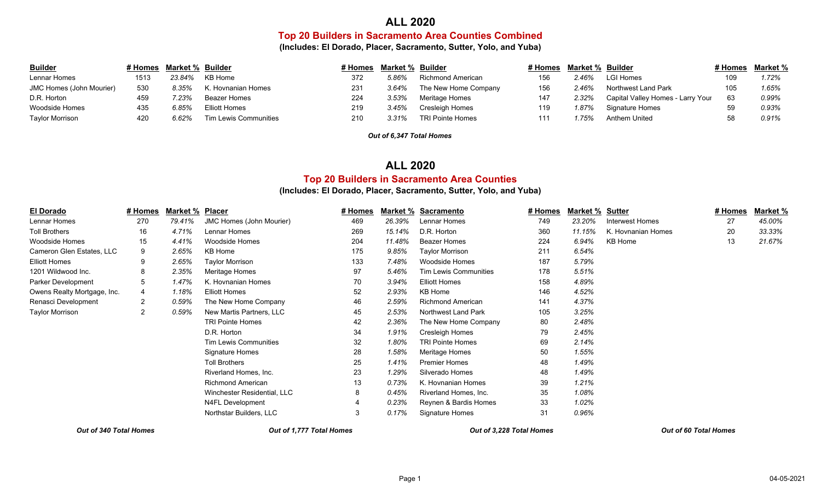### **ALL 2020**

#### **Top 20 Builders in Sacramento Area Counties Combined**

**(Includes: El Dorado, Placer, Sacramento, Sutter, Yolo, and Yuba)**

| <b>Builder</b>           | # Homes | <b>Market % Builder</b> |                       | # Homes | Market % Builder |                         | # Homes | <b>Market % Builder</b> |                                   | # Homes | <u>Market %</u> |
|--------------------------|---------|-------------------------|-----------------------|---------|------------------|-------------------------|---------|-------------------------|-----------------------------------|---------|-----------------|
| Lennar Homes             | 1513    | 23.84%                  | KB Home               | 372     | 5.86%            | Richmond American       | 156     | 2.46%                   | <b>LGI Homes</b>                  |         | 1.72%           |
| JMC Homes (John Mourier) | 530     | 8.35%                   | K. Hovnanian Homes    | 231     | 3.64%            | The New Home Company    | 156     | 2.46%                   | Northwest Land Park               |         | 1.65%           |
| D.R. Horton              | 459     | $7.23\%$                | Beazer Homes          | 224     | 3.53%            | Meritage Homes          | 147     | 2.32%                   | Capital Valley Homes - Larry Your | 63      | 0.99%           |
| Woodside Homes           | 435     | 6.85%                   | <b>Elliott Homes</b>  | 219     | 3.45%            | Cresleigh Homes         | 119     | 1.87%                   | Signature Homes                   |         | 0.93%           |
| Taylor Morrison          | 420     | 6.62%                   | Tim Lewis Communities | 210     | 3.31%            | <b>TRI Pointe Homes</b> | 111     | .75%                    | Anthem United                     |         | 0.91%           |

*Out of 6,347 Total Homes*

## **Top 20 Builders in Sacramento Area Counties ALL 2020**

#### **(Includes: El Dorado, Placer, Sacramento, Sutter, Yolo, and Yuba)**

| <b>El Dorado</b>            | # Homes | <b>Market %</b> | <b>Placer</b>                   | # Homes | Market % | <b>Sacramento</b>        | # Homes | <b>Market %</b> | <u>Sutter</u>      | # Homes | Market % |
|-----------------------------|---------|-----------------|---------------------------------|---------|----------|--------------------------|---------|-----------------|--------------------|---------|----------|
| Lennar Homes                | 270     | 79.41%          | <b>JMC Homes (John Mourier)</b> | 469     | 26.39%   | Lennar Homes             | 749     | 23.20%          | Interwest Homes    | 27      | 45.00%   |
| <b>Toll Brothers</b>        | 16      | 4.71%           | Lennar Homes                    | 269     | 15.14%   | D.R. Horton              | 360     | 11.15%          | K. Hovnanian Homes | 20      | 33.33%   |
| Woodside Homes              | 15      | 4.41%           | Woodside Homes                  | 204     | 11.48%   | <b>Beazer Homes</b>      | 224     | 6.94%           | KB Home            | 13      | 21.67%   |
| Cameron Glen Estates, LLC   | 9       | 2.65%           | KB Home                         | 175     | 9.85%    | Taylor Morrison          | 211     | 6.54%           |                    |         |          |
| <b>Elliott Homes</b>        | 9       | 2.65%           | Taylor Morrison                 | 133     | 7.48%    | Woodside Homes           | 187     | 5.79%           |                    |         |          |
| 1201 Wildwood Inc.          | 8       | 2.35%           | Meritage Homes                  | 97      | 5.46%    | Tim Lewis Communities    | 178     | 5.51%           |                    |         |          |
| Parker Development          | 5       | 1.47%           | K. Hovnanian Homes              | 70      | 3.94%    | Elliott Homes            | 158     | 4.89%           |                    |         |          |
| Owens Realty Mortgage, Inc. | 4       | 1.18%           | <b>Elliott Homes</b>            | 52      | 2.93%    | KB Home                  | 146     | 4.52%           |                    |         |          |
| Renasci Development         | 2       | 0.59%           | The New Home Company            | 46      | 2.59%    | <b>Richmond American</b> | 141     | 4.37%           |                    |         |          |
| Taylor Morrison             | 2       | 0.59%           | New Martis Partners, LLC        | 45      | 2.53%    | Northwest Land Park      | 105     | 3.25%           |                    |         |          |
|                             |         |                 | <b>TRI Pointe Homes</b>         | 42      | 2.36%    | The New Home Company     | 80      | 2.48%           |                    |         |          |
|                             |         |                 | D.R. Horton                     | 34      | 1.91%    | Cresleigh Homes          | 79      | 2.45%           |                    |         |          |
|                             |         |                 | <b>Tim Lewis Communities</b>    | 32      | 1.80%    | <b>TRI Pointe Homes</b>  | 69      | 2.14%           |                    |         |          |
|                             |         |                 | Signature Homes                 | 28      | 1.58%    | Meritage Homes           | 50      | 1.55%           |                    |         |          |
|                             |         |                 | <b>Toll Brothers</b>            | 25      | 1.41%    | <b>Premier Homes</b>     | 48      | 1.49%           |                    |         |          |
|                             |         |                 | Riverland Homes, Inc.           | 23      | 1.29%    | Silverado Homes          | 48      | 1.49%           |                    |         |          |
|                             |         |                 | <b>Richmond American</b>        | 13      | 0.73%    | K. Hovnanian Homes       | 39      | 1.21%           |                    |         |          |
|                             |         |                 | Winchester Residential, LLC     | 8       | 0.45%    | Riverland Homes, Inc.    | 35      | 1.08%           |                    |         |          |
|                             |         |                 | N4FL Development                | 4       | 0.23%    | Reynen & Bardis Homes    | 33      | 1.02%           |                    |         |          |
|                             |         |                 | Northstar Builders, LLC         | 3       | 0.17%    | Signature Homes          | 31      | 0.96%           |                    |         |          |
|                             |         |                 |                                 |         |          |                          |         |                 |                    |         |          |

*Out of 340 Total Homes Out of 1,777 Total Homes Out of 3,228 Total Homes Out of 60 Total Homes*